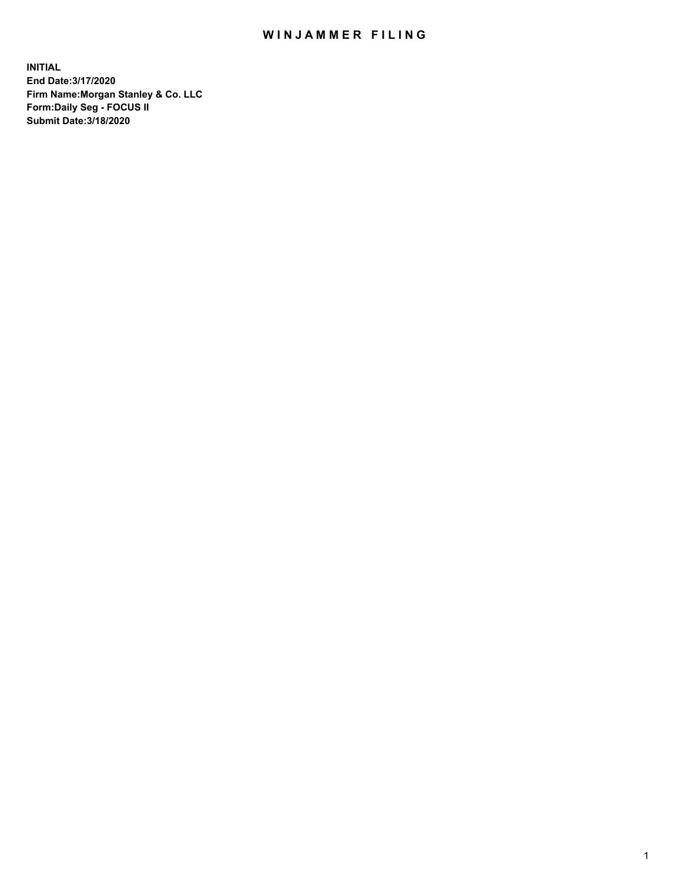## WIN JAMMER FILING

**INITIAL End Date:3/17/2020 Firm Name:Morgan Stanley & Co. LLC Form:Daily Seg - FOCUS II Submit Date:3/18/2020**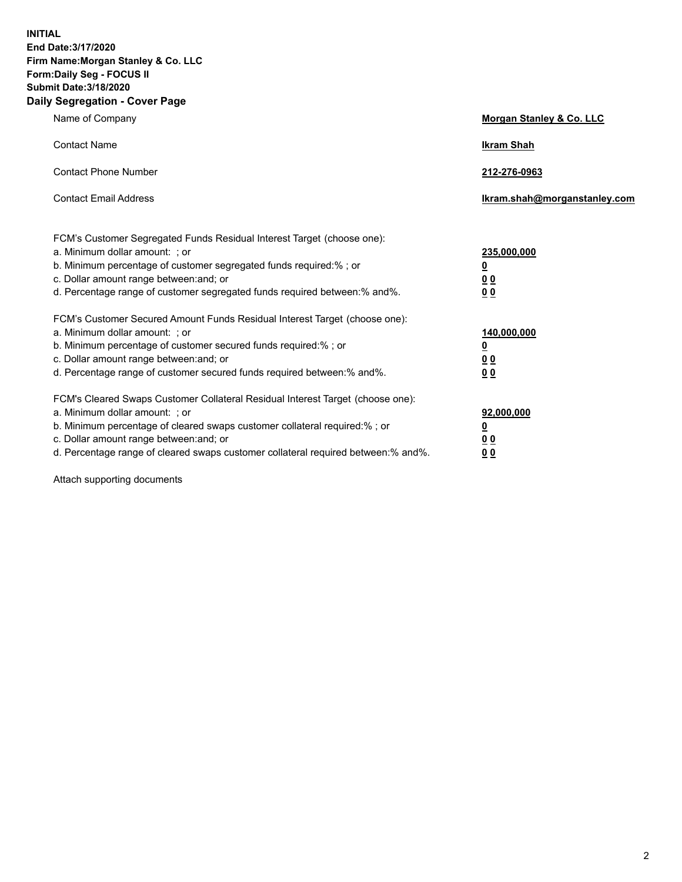**INITIAL End Date:3/17/2020 Firm Name:Morgan Stanley & Co. LLC Form:Daily Seg - FOCUS II Submit Date:3/18/2020 Daily Segregation - Cover Page**

| Name of Company                                                                                                                                                                                                                                                                                                               | Morgan Stanley & Co. LLC                               |
|-------------------------------------------------------------------------------------------------------------------------------------------------------------------------------------------------------------------------------------------------------------------------------------------------------------------------------|--------------------------------------------------------|
| <b>Contact Name</b>                                                                                                                                                                                                                                                                                                           | <b>Ikram Shah</b>                                      |
| <b>Contact Phone Number</b>                                                                                                                                                                                                                                                                                                   | 212-276-0963                                           |
| <b>Contact Email Address</b>                                                                                                                                                                                                                                                                                                  | Ikram.shah@morganstanley.com                           |
| FCM's Customer Segregated Funds Residual Interest Target (choose one):<br>a. Minimum dollar amount: ; or<br>b. Minimum percentage of customer segregated funds required:% ; or<br>c. Dollar amount range between: and; or<br>d. Percentage range of customer segregated funds required between:% and%.                        | 235,000,000<br><u>0</u><br><u>00</u><br>0 <sup>0</sup> |
| FCM's Customer Secured Amount Funds Residual Interest Target (choose one):<br>a. Minimum dollar amount: ; or<br>b. Minimum percentage of customer secured funds required:%; or<br>c. Dollar amount range between: and; or<br>d. Percentage range of customer secured funds required between:% and%.                           | 140,000,000<br><u>0</u><br><u>00</u><br>0 <sub>0</sub> |
| FCM's Cleared Swaps Customer Collateral Residual Interest Target (choose one):<br>a. Minimum dollar amount: ; or<br>b. Minimum percentage of cleared swaps customer collateral required:%; or<br>c. Dollar amount range between: and; or<br>d. Percentage range of cleared swaps customer collateral required between:% and%. | 92,000,000<br><u>0</u><br>0 Q<br>00                    |

Attach supporting documents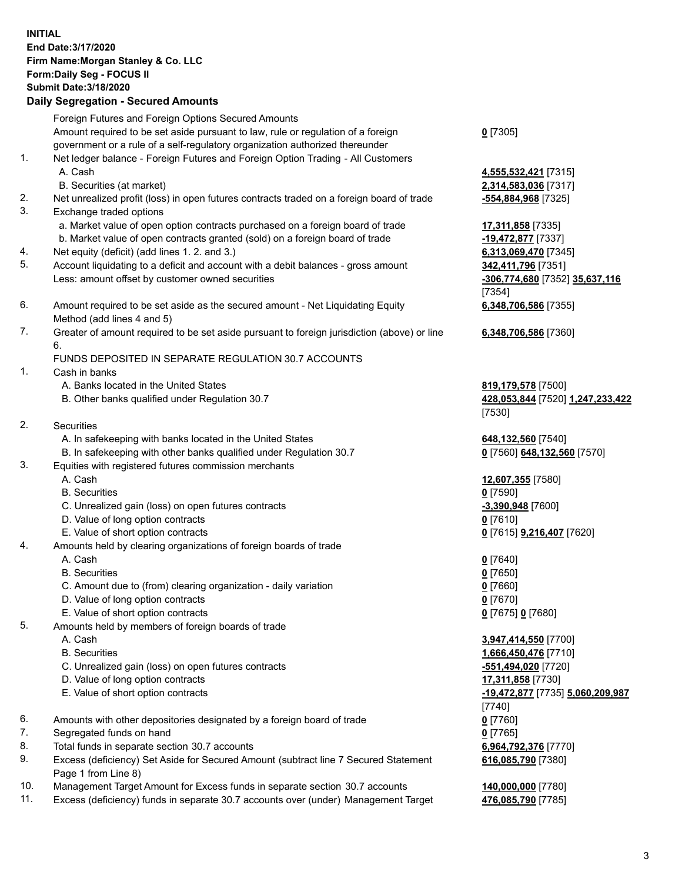## **INITIAL End Date:3/17/2020 Firm Name:Morgan Stanley & Co. LLC Form:Daily Seg - FOCUS II Submit Date:3/18/2020 Daily Segregation - Secured Amounts** Foreign Futures and Foreign Options Secured Amounts Amount required to be set aside pursuant to law, rule or regulation of a foreign government or a rule of a self-regulatory organization authorized thereunder 1. Net ledger balance - Foreign Futures and Foreign Option Trading - All Customers A. Cash **4,555,532,421** [7315] B. Securities (at market) **2,314,583,036** [7317] 2. Net unrealized profit (loss) in open futures contracts traded on a foreign board of trade **-554,884,968** [7325] 3. Exchange traded options a. Market value of open option contracts purchased on a foreign board of trade **17,311,858** [7335] b. Market value of open contracts granted (sold) on a foreign board of trade **-19,472,877** [7337] 4. Net equity (deficit) (add lines 1. 2. and 3.) **6,313,069,470** [7345] 5. Account liquidating to a deficit and account with a debit balances - gross amount **342,411,796** [7351] Less: amount offset by customer owned securities **-306,774,680** [7352] **35,637,116** 6. Amount required to be set aside as the secured amount - Net Liquidating Equity Method (add lines 4 and 5) 7. Greater of amount required to be set aside pursuant to foreign jurisdiction (above) or line 6. FUNDS DEPOSITED IN SEPARATE REGULATION 30.7 ACCOUNTS 1. Cash in banks A. Banks located in the United States **819,179,578** [7500] B. Other banks qualified under Regulation 30.7 **428,053,844** [7520] **1,247,233,422** 2. Securities A. In safekeeping with banks located in the United States **648,132,560** [7540] B. In safekeeping with other banks qualified under Regulation 30.7 **0** [7560] **648,132,560** [7570] 3. Equities with registered futures commission merchants A. Cash **12,607,355** [7580] B. Securities **0** [7590] C. Unrealized gain (loss) on open futures contracts **-3,390,948** [7600] D. Value of long option contracts **0** [7610] E. Value of short option contracts **0** [7615] **9,216,407** [7620] 4. Amounts held by clearing organizations of foreign boards of trade A. Cash **0** [7640] B. Securities **0** [7650] C. Amount due to (from) clearing organization - daily variation **0** [7660] D. Value of long option contracts **0** [7670] E. Value of short option contracts **0** [7675] **0** [7680] 5. Amounts held by members of foreign boards of trade A. Cash **3,947,414,550** [7700] B. Securities **1,666,450,476** [7710] C. Unrealized gain (loss) on open futures contracts **-551,494,020** [7720] D. Value of long option contracts **17,311,858** [7730] E. Value of short option contracts **-19,472,877** [7735] **5,060,209,987**

- 6. Amounts with other depositories designated by a foreign board of trade **0** [7760]
- 7. Segregated funds on hand **0** [7765]
- 8. Total funds in separate section 30.7 accounts **6,964,792,376** [7770]
- 9. Excess (deficiency) Set Aside for Secured Amount (subtract line 7 Secured Statement Page 1 from Line 8)
- 10. Management Target Amount for Excess funds in separate section 30.7 accounts **140,000,000** [7780]
- 11. Excess (deficiency) funds in separate 30.7 accounts over (under) Management Target **476,085,790** [7785]

**0** [7305]

[7354] **6,348,706,586** [7355]

**6,348,706,586** [7360]

[7530]

[7740] **616,085,790** [7380]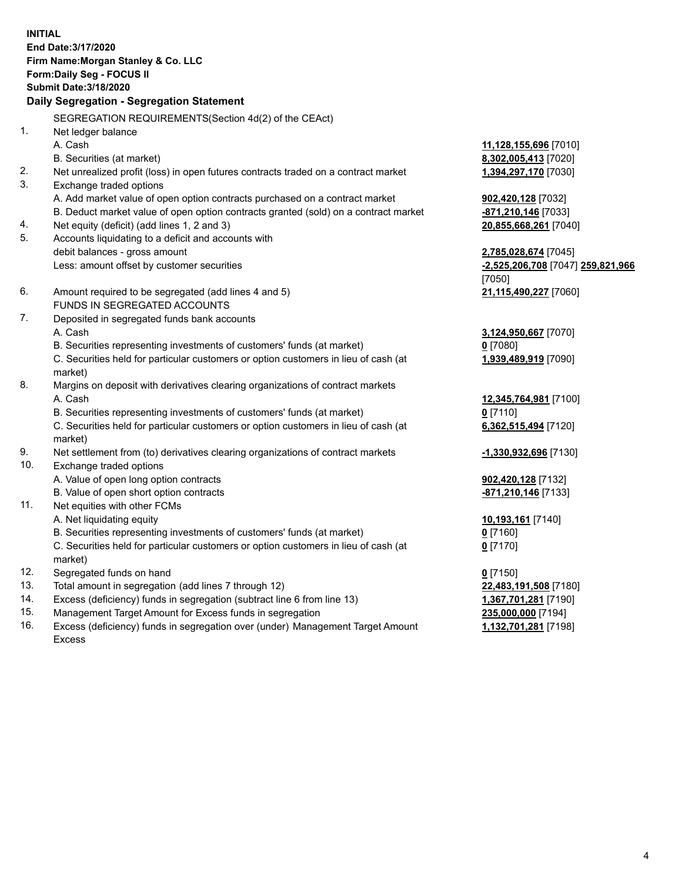**INITIAL End Date:3/17/2020 Firm Name:Morgan Stanley & Co. LLC Form:Daily Seg - FOCUS II Submit Date:3/18/2020 Daily Segregation - Segregation Statement** SEGREGATION REQUIREMENTS(Section 4d(2) of the CEAct) 1. Net ledger balance A. Cash **11,128,155,696** [7010] B. Securities (at market) **8,302,005,413** [7020] 2. Net unrealized profit (loss) in open futures contracts traded on a contract market **1,394,297,170** [7030] 3. Exchange traded options A. Add market value of open option contracts purchased on a contract market **902,420,128** [7032] B. Deduct market value of open option contracts granted (sold) on a contract market **-871,210,146** [7033] 4. Net equity (deficit) (add lines 1, 2 and 3) **20,855,668,261** [7040] 5. Accounts liquidating to a deficit and accounts with debit balances - gross amount **2,785,028,674** [7045] Less: amount offset by customer securities **-2,525,206,708** [7047] **259,821,966** [7050] 6. Amount required to be segregated (add lines 4 and 5) **21,115,490,227** [7060] FUNDS IN SEGREGATED ACCOUNTS 7. Deposited in segregated funds bank accounts A. Cash **3,124,950,667** [7070] B. Securities representing investments of customers' funds (at market) **0** [7080] C. Securities held for particular customers or option customers in lieu of cash (at market) **1,939,489,919** [7090] 8. Margins on deposit with derivatives clearing organizations of contract markets A. Cash **12,345,764,981** [7100] B. Securities representing investments of customers' funds (at market) **0** [7110] C. Securities held for particular customers or option customers in lieu of cash (at market) **6,362,515,494** [7120] 9. Net settlement from (to) derivatives clearing organizations of contract markets **-1,330,932,696** [7130] 10. Exchange traded options A. Value of open long option contracts **902,420,128** [7132] B. Value of open short option contracts **and the set of open short option contracts -871,210,146** [7133] 11. Net equities with other FCMs A. Net liquidating equity **10,193,161** [7140] B. Securities representing investments of customers' funds (at market) **0** [7160] C. Securities held for particular customers or option customers in lieu of cash (at market) **0** [7170] 12. Segregated funds on hand **0** [7150] 13. Total amount in segregation (add lines 7 through 12) **22,483,191,508** [7180] 14. Excess (deficiency) funds in segregation (subtract line 6 from line 13) **1,367,701,281** [7190] 15. Management Target Amount for Excess funds in segregation **235,000,000** [7194]

16. Excess (deficiency) funds in segregation over (under) Management Target Amount Excess

**1,132,701,281** [7198]